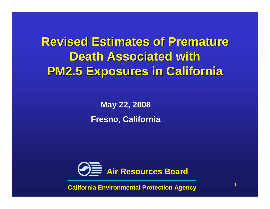### **Revised Estimates of Premature Death Associated with PM2.5 Exposures in California**

**May 22, 2008Fresno, California**



**California Environmental Protection Agency**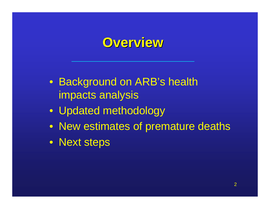### **Overview**

- Background on ARB's health impacts analysis
- Updated methodology
- New estimates of premature deaths
- Next steps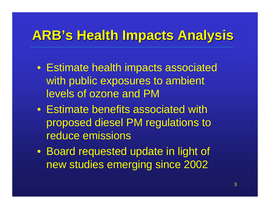### **ARB's Health Impacts Analysis**

- Estimate health impacts associated with public exposures to ambient levels of ozone and PM
- Estimate benefits associated with proposed diesel PM regulations to reduce emissions
- Board requested update in light of new studies emerging since 2002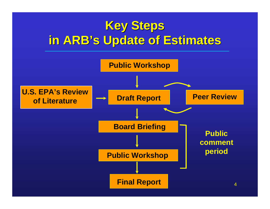## **Key Steps in ARB's Update of Estimates**

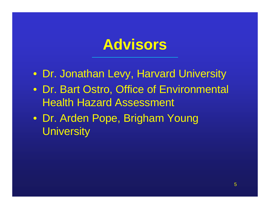# **Advisors**

- Dr. Jonathan Levy, Harvard University
- Dr. Bart Ostro, Office of Environmental Health Hazard Assessment
- Dr. Arden Pope, Brigham Young **University**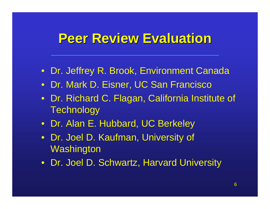#### **Peer Review Evaluation**

- Dr. Jeffrey R. Brook, Environment Canada
- Dr. Mark D. Eisner, UC San Francisco
- Dr. Richard C. Flagan, California Institute of **Technology**
- Dr. Alan E. Hubbard, UC Berkeley
- Dr. Joel D. Kaufman, University of **Washington**
- Dr. Joel D. Schwartz, Harvard University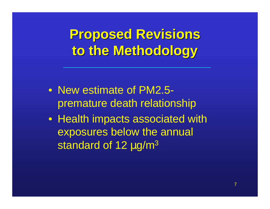**Proposed Revisions to the Methodology**

- New estimate of PM2.5premature death relationship
- Health impacts associated with exposures below the annual standard of 12 µg/m<sup>3</sup>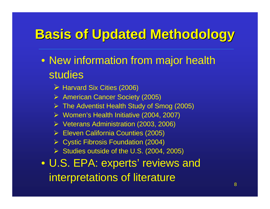## **Basis of Updated Methodology**

- New information from major health studies
	- > Harvard Six Cities (2006)
	- American Cancer Society (2005)
	- **Example Adventist Health Study of Smog (2005)**<br>■ Messential United to the Coood Cooot
	- Women's Health Initiative (2004, 2007)
	- ► Veterans Administration (2003, 2006)
	- **Eleven California Counties (2005)**<br>No. a stis ⊡issais Escalatis (2004)
	- **► Cystic Fibrosis Foundation (2004)**
	- $\triangleright$  Studies outside of the U.S. (2004, 2005)
- U.S. EPA: experts' reviews and interpretations of literature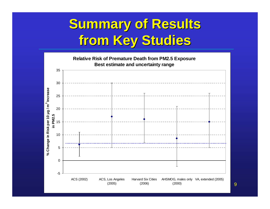## **Summary of Results from Key Studies**

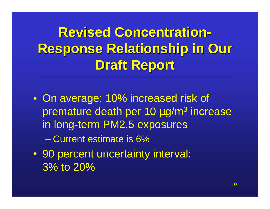**Revised Concentration Response Relationship in Our -Draft Report**

• On average: 10% increased risk of premature death per 10 µg/m<sup>3</sup> increase in long-term PM2.5 exposures

Current estimate is 6%

 • 90 percent uncertainty interval: 3% to 20%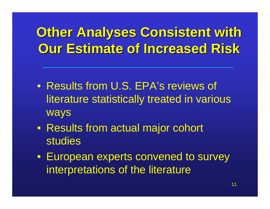## **Other Analyses Consistent with Our Estimate of Increased Risk**

- Results from U.S. EPA's reviews of literature statistically treated in various ways
- Results from actual major cohort studies
- European experts convened to survey interpretations of the literature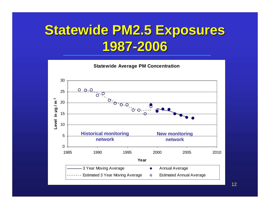## **Statewide PM2.5 Exposures 1987-2006**



12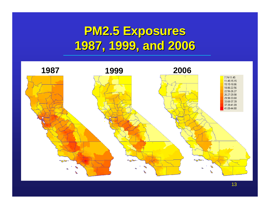### **PM2.5 Exposures 1987, 1999, and 2006**

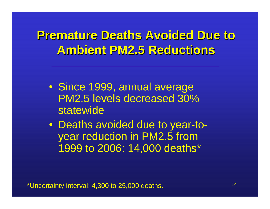#### **Premature Deaths Avoided Due to Ambient PM2.5 Reductions**

- Since 1999, annual average PM2.5 levels decreased 30% statewide
- Deaths avoided due to year-toyear reduction in PM2.5 from 1999 to 2006: 14,000 deaths\*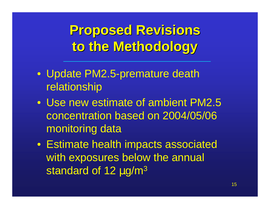## **Proposed Revisions to the Methodology**

- Update PM2.5-premature death relationship
- Use new estimate of ambient PM2.5 concentration based on 2004/05/06 monitoring data
- Estimate health impacts associated with exposures below the annual standard of 12 µg/m<sup>3</sup>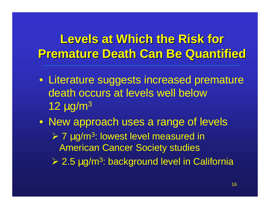#### **Levels at Which the Risk for Premature Death Can Be Quantified**

- Literature suggests increased premature death occurs at levels well below12  $\mu$ g/m $^3$
- New approach uses a range of levels**► 7 μg/m<sup>3</sup>: lowest level measured in**<br>American Cancer Seciety studies American Cancer Society studies $\geq$  2.5 µg/m<sup>3</sup>: background level in California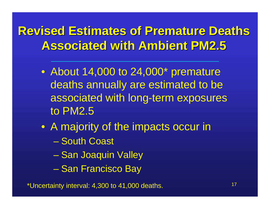#### **Revised Estimates of Premature Deaths Associated with Ambient PM2.5**

- About 14,000 to 24,000\* premature deaths annually are estimated to be associated with long-term exposures to PM2.5
- A majority of the impacts occur in
	- South Coast
	- Charles Constantinopolis San Joaquin Valley
	- $\mathcal{L}_{\mathcal{A}}$  , and the set of the set of the set of the set of the set of the set of the set of the set of the set of the set of the set of the set of the set of the set of the set of the set of the set of the set of th San Francisco Bay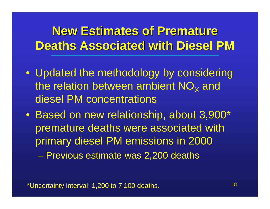#### **New Estimates of Premature Deaths Associated with Diesel PM**

- Updated the methodology by considering the relation between ambient NO $_\mathrm{\mathsf{x}}$  $_{\mathsf{X}}$  and diesel PM concentrations
- Based on new relationship, about 3,900\* premature deaths were associated with primary diesel PM emissions in 2000– Charles Constantinopolis Previous estimate was 2,200 deaths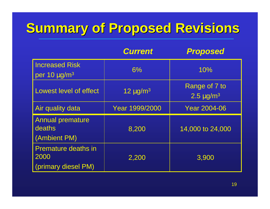# **Summary of Proposed Revisions**

|                                                           | <b>Current</b>            | <b>Proposed</b>                    |
|-----------------------------------------------------------|---------------------------|------------------------------------|
| <b>Increased Risk</b><br>per 10 $\mu$ g/m <sup>3</sup>    | 6%                        | 10%                                |
| <b>Lowest level of effect</b>                             | 12 $\mu$ g/m <sup>3</sup> | Range of 7 to<br>$2.5 \,\mu g/m^3$ |
| Air quality data                                          | Year 1999/2000            | <b>Year 2004-06</b>                |
| <b>Annual premature</b><br>deaths<br>(Ambient PM)         | 8,200                     | 14,000 to 24,000                   |
| <b>Premature deaths in</b><br>2000<br>(primary diesel PM) | 2,200                     | 3,900                              |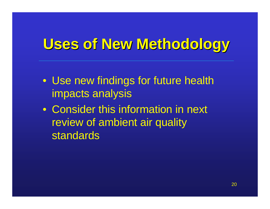# **Uses of New Methodology**

- Use new findings for future health impacts analysis
- Consider this information in next review of ambient air quality **standards**